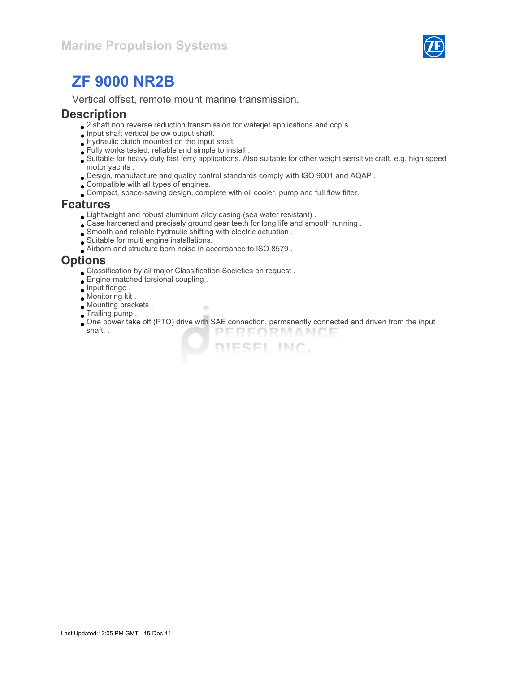

# ZF 9000 NR2B

Vertical offset, remote mount marine transmission.

#### **Description**

- $\bullet$  2 shaft non reverse reduction transmission for waterjet applications and ccp`s.
- $\bullet$  Input shaft vertical below output shaft.
- Hydraulic clutch mounted on the input shaft.
- Fully works tested, reliable and simple to install .
- Suitable for heavy duty fast ferry applications. Also suitable for other weight sensitive craft, e.g. high speed motor yachts .
- Design, manufacture and quality control standards comply with ISO 9001 and AQAP .
- Compatible with all types of engines.
- Compact, space-saving design, complete with oil cooler, pump and full flow filter.

#### Features

Lightweight and robust aluminum alloy casing (sea water resistant) .

×

- Case hardened and precisely ground gear teeth for long life and smooth running .
- Smooth and reliable hydraulic shifting with electric actuation .
- Suitable for multi engine installations.
- Airborn and structure born noise in accordance to ISO 8579 .

#### **Options**

- Classification by all major Classification Societies on request .
- Engine-matched torsional coupling .
- $\bullet$  Input flange.
- Monitoring kit .
- Mounting brackets .
- **Trailing pump.**
- One power take off (PTO) drive with SAE connection, permanently connected and driven from the input shaft. . PERFORMANCE

DIESEL INC.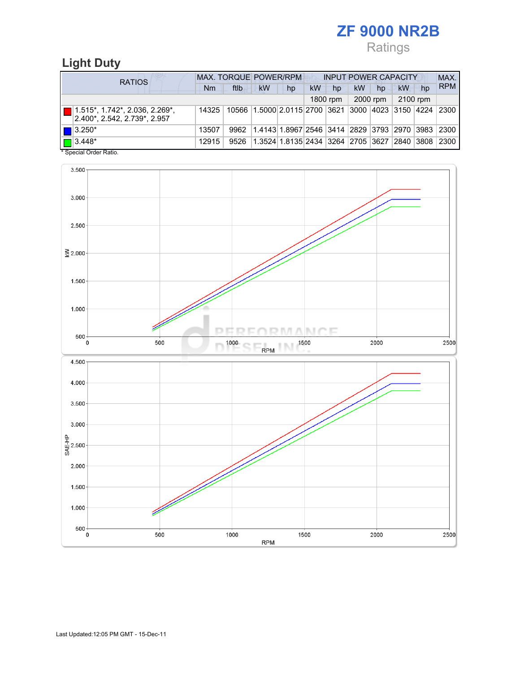# ZF 9000 NR2B

# Ratings

# Light Duty

| <b>RATIOS</b>                                                                               | MAX. TORQUE POWER/RPM<br><b>INPUT POWER CAPACITY</b> |      |                                                         |    |    |          |           |          |          |    |            |
|---------------------------------------------------------------------------------------------|------------------------------------------------------|------|---------------------------------------------------------|----|----|----------|-----------|----------|----------|----|------------|
|                                                                                             | Nm                                                   | ftlb | <b>kW</b>                                               | hp | kW | hp       | <b>kW</b> | hp       | kW       | hp | <b>RPM</b> |
|                                                                                             |                                                      |      |                                                         |    |    | 1800 rpm |           | 2000 rpm | 2100 rpm |    |            |
| $\boxed{ }$ 1.515*, 1.742*, 2.036, 2.269*,<br>$ 2.400^{\star}, 2.542, 2.739^{\star}, 2.957$ | 14325                                                |      | 10566 1.5000 2.0115 2700 3621 3000 4023 3150 4224 2300  |    |    |          |           |          |          |    |            |
| $\blacksquare$ 3.250*                                                                       | 13507                                                | 9962 | 1.4143 1.8967 2546 3414 2829 3793 2970 3983 2300        |    |    |          |           |          |          |    |            |
| $\boxed{\Box}$ 3.448*                                                                       | 12915                                                | 9526 | 1.3524 1.8135 2434  3264  2705  3627  2840  3808   2300 |    |    |          |           |          |          |    |            |

\* Special Order Ratio.

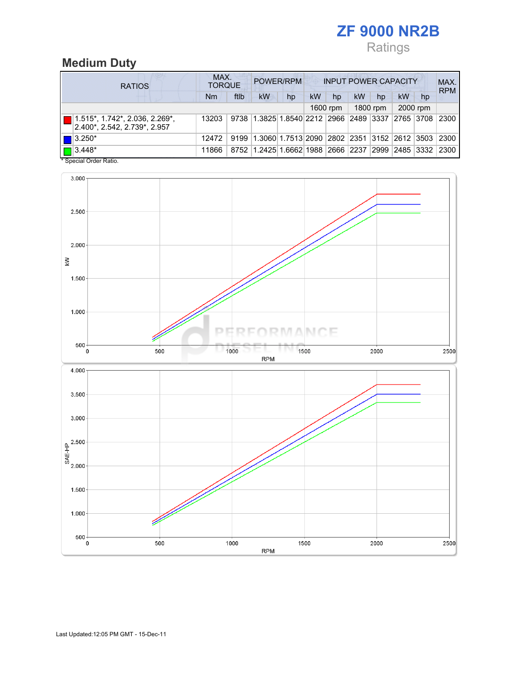# ZF 9000 NR2B Ratings

## Medium Duty

| <b>RATIOS</b> |                                                                            | MAX.<br>POWER/RPM<br><b>INPUT POWER CAPACITY</b><br><b>TORQUE</b> |      |                                                  |    |           |          |    |          |           |          | MAX.<br><b>RPM</b> |
|---------------|----------------------------------------------------------------------------|-------------------------------------------------------------------|------|--------------------------------------------------|----|-----------|----------|----|----------|-----------|----------|--------------------|
|               |                                                                            | Nm                                                                | ftlb | <b>kW</b>                                        | hp | <b>kW</b> | hp       | kW | hp       | <b>kW</b> | hp       |                    |
|               |                                                                            |                                                                   |      |                                                  |    |           | 1600 rpm |    | 1800 rpm |           | 2000 rpm |                    |
|               | $\boxed{ }$ 1.515*, 1.742*, 2.036, 2.269*,<br>2.400*, 2.542, 2.739*, 2.957 | 13203                                                             |      | 9738 1.3825 1.8540 2212 2966 2489 3337 2765 3708 |    |           |          |    |          |           |          | 2300               |
|               | $\blacksquare$ 3.250*                                                      | 12472                                                             | 9199 | 1.3060 1.7513 2090 2802 2351 3152 2612 3503 2300 |    |           |          |    |          |           |          |                    |
|               | $\sqrt{3.448^*}$                                                           | 11866                                                             |      | 8752 1.2425 1.6662 1988 2666 2237 2999 2485 3332 |    |           |          |    |          |           |          | 2300               |

\* Special Order Ratio.

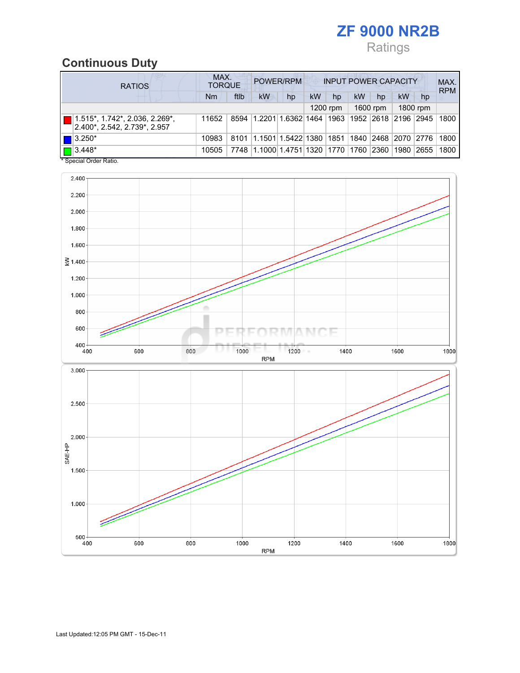# ZF 9000 NR2B Ratings

## Continuous Duty

| <b>RATIOS</b>                                                              | MAX.<br>POWER/RPM<br><b>INPUT POWER CAPACITY</b><br><b>TORQUE</b> |      |                                                  |    |    |          |    |          |           |          | MAX.<br><b>RPM</b> |
|----------------------------------------------------------------------------|-------------------------------------------------------------------|------|--------------------------------------------------|----|----|----------|----|----------|-----------|----------|--------------------|
|                                                                            | Nm                                                                | ftlb | kW                                               | hp | kW | hp       | kW | hp       | <b>kW</b> | hp       |                    |
|                                                                            |                                                                   |      |                                                  |    |    | 1200 rpm |    | 1600 rpm |           | 1800 rpm |                    |
| $\boxed{ }$ 1.515*, 1.742*, 2.036, 2.269*,<br>2.400*, 2.542, 2.739*, 2.957 | 11652                                                             |      | 8594 1.2201 1.6362 1464 1963 1952 2618 2196 2945 |    |    |          |    |          |           |          | 1800               |
| $\blacksquare$ 3.250*                                                      | 10983                                                             | 8101 | 1.1501 1.5422 1380 1851 1840 2468 2070 2776      |    |    |          |    |          |           |          | 1800               |
| $\boxed{\Box}$ 3.448*                                                      | 10505                                                             | 7748 | 1.1000 1.4751 1320  1770  1760  2360             |    |    |          |    |          | 1980      | 2655     | 1800               |

\* Special Order Ratio.

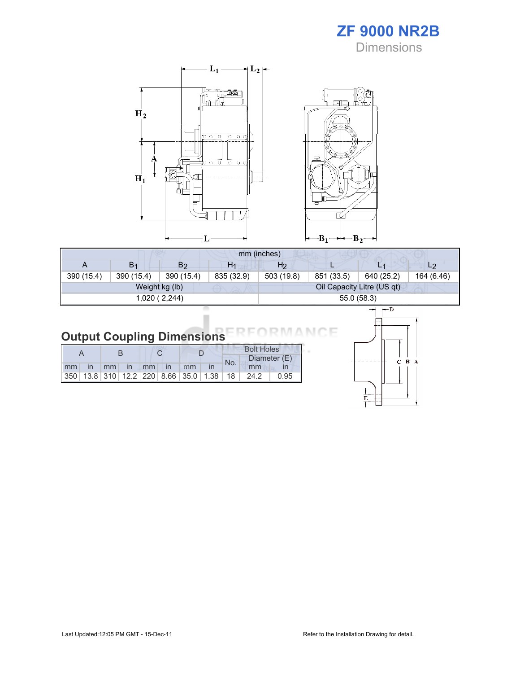



|                | mm (inches)    |                |                |                |                            |            |                |  |  |
|----------------|----------------|----------------|----------------|----------------|----------------------------|------------|----------------|--|--|
| $\overline{A}$ | B <sub>1</sub> | B <sub>2</sub> | H <sub>1</sub> | H <sub>2</sub> |                            | 上手         | L <sub>2</sub> |  |  |
| 390 (15.4)     | 390 (15.4)     | 390 (15.4)     | 835 (32.9)     | 503 (19.8)     | 851 (33.5)                 | 640 (25.2) | 164 (6.46)     |  |  |
|                |                | Weight kg (lb) |                |                | Oil Capacity Litre (US qt) |            |                |  |  |
|                |                | 1,020 (2,244)  |                |                | 55.0 (58.3)                |            |                |  |  |

# Output Coupling Dimensions

|  |  |                       |  |  |     | <b>Bolt Holes</b>                                |      |
|--|--|-----------------------|--|--|-----|--------------------------------------------------|------|
|  |  |                       |  |  | No. | Diameter (E)                                     |      |
|  |  | Imm in mm in mm in mm |  |  |     | mm                                               |      |
|  |  |                       |  |  |     | $ 350 $ 13.8 310 12.2 220 8.66 35.0 1.38 18 24.2 | 0.95 |



Е